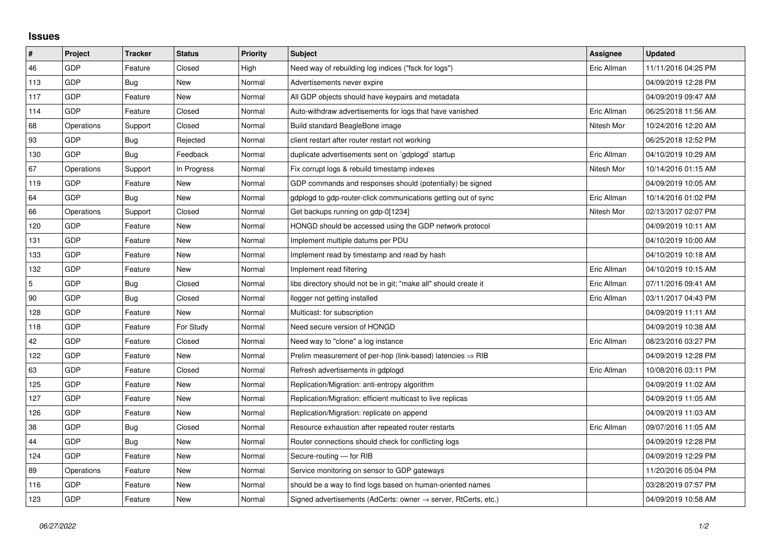## **Issues**

| $\vert$ #  | Project    | <b>Tracker</b> | <b>Status</b> | <b>Priority</b> | <b>Subject</b>                                                             | Assignee    | <b>Updated</b>      |
|------------|------------|----------------|---------------|-----------------|----------------------------------------------------------------------------|-------------|---------------------|
| 46         | GDP        | Feature        | Closed        | High            | Need way of rebuilding log indices ("fsck for logs")                       | Eric Allman | 11/11/2016 04:25 PM |
| 113        | GDP        | Bug            | New           | Normal          | Advertisements never expire                                                |             | 04/09/2019 12:28 PM |
| 117        | GDP        | Feature        | New           | Normal          | All GDP objects should have keypairs and metadata                          |             | 04/09/2019 09:47 AM |
| 114        | GDP        | Feature        | Closed        | Normal          | Auto-withdraw advertisements for logs that have vanished                   | Eric Allman | 06/25/2018 11:56 AM |
| 68         | Operations | Support        | Closed        | Normal          | Build standard BeagleBone image                                            | Nitesh Mor  | 10/24/2016 12:20 AM |
| 93         | GDP        | Bug            | Rejected      | Normal          | client restart after router restart not working                            |             | 06/25/2018 12:52 PM |
| 130        | GDP        | Bug            | Feedback      | Normal          | duplicate advertisements sent on `gdplogd` startup                         | Eric Allman | 04/10/2019 10:29 AM |
| 67         | Operations | Support        | In Progress   | Normal          | Fix corrupt logs & rebuild timestamp indexes                               | Nitesh Mor  | 10/14/2016 01:15 AM |
| 119        | GDP        | Feature        | New           | Normal          | GDP commands and responses should (potentially) be signed                  |             | 04/09/2019 10:05 AM |
| 64         | GDP        | Bug            | New           | Normal          | gdplogd to gdp-router-click communications getting out of sync             | Eric Allman | 10/14/2016 01:02 PM |
| 66         | Operations | Support        | Closed        | Normal          | Get backups running on gdp-0[1234]                                         | Nitesh Mor  | 02/13/2017 02:07 PM |
| 120        | GDP        | Feature        | New           | Normal          | HONGD should be accessed using the GDP network protocol                    |             | 04/09/2019 10:11 AM |
| 131        | GDP        | Feature        | New           | Normal          | Implement multiple datums per PDU                                          |             | 04/10/2019 10:00 AM |
| 133        | GDP        | Feature        | New           | Normal          | Implement read by timestamp and read by hash                               |             | 04/10/2019 10:18 AM |
| 132        | GDP        | Feature        | New           | Normal          | Implement read filtering                                                   | Eric Allman | 04/10/2019 10:15 AM |
| $\sqrt{5}$ | GDP        | Bug            | Closed        | Normal          | libs directory should not be in git; "make all" should create it           | Eric Allman | 07/11/2016 09:41 AM |
| 90         | GDP        | Bug            | Closed        | Normal          | llogger not getting installed                                              | Eric Allman | 03/11/2017 04:43 PM |
| 128        | GDP        | Feature        | New           | Normal          | Multicast: for subscription                                                |             | 04/09/2019 11:11 AM |
| 118        | GDP        | Feature        | For Study     | Normal          | Need secure version of HONGD                                               |             | 04/09/2019 10:38 AM |
| 42         | GDP        | Feature        | Closed        | Normal          | Need way to "clone" a log instance                                         | Eric Allman | 08/23/2016 03:27 PM |
| 122        | GDP        | Feature        | New           | Normal          | Prelim measurement of per-hop (link-based) latencies $\Rightarrow$ RIB     |             | 04/09/2019 12:28 PM |
| 63         | GDP        | Feature        | Closed        | Normal          | Refresh advertisements in gdplogd                                          | Eric Allman | 10/08/2016 03:11 PM |
| 125        | GDP        | Feature        | New           | Normal          | Replication/Migration: anti-entropy algorithm                              |             | 04/09/2019 11:02 AM |
| 127        | GDP        | Feature        | New           | Normal          | Replication/Migration: efficient multicast to live replicas                |             | 04/09/2019 11:05 AM |
| 126        | GDP        | Feature        | New           | Normal          | Replication/Migration: replicate on append                                 |             | 04/09/2019 11:03 AM |
| $38\,$     | <b>GDP</b> | Bug            | Closed        | Normal          | Resource exhaustion after repeated router restarts                         | Eric Allman | 09/07/2016 11:05 AM |
| 44         | GDP        | Bug            | New           | Normal          | Router connections should check for conflicting logs                       |             | 04/09/2019 12:28 PM |
| 124        | GDP        | Feature        | New           | Normal          | Secure-routing - for RIB                                                   |             | 04/09/2019 12:29 PM |
| 89         | Operations | Feature        | New           | Normal          | Service monitoring on sensor to GDP gateways                               |             | 11/20/2016 05:04 PM |
| 116        | GDP        | Feature        | New           | Normal          | should be a way to find logs based on human-oriented names                 |             | 03/28/2019 07:57 PM |
| 123        | GDP        | Feature        | New           | Normal          | Signed advertisements (AdCerts: owner $\rightarrow$ server, RtCerts, etc.) |             | 04/09/2019 10:58 AM |